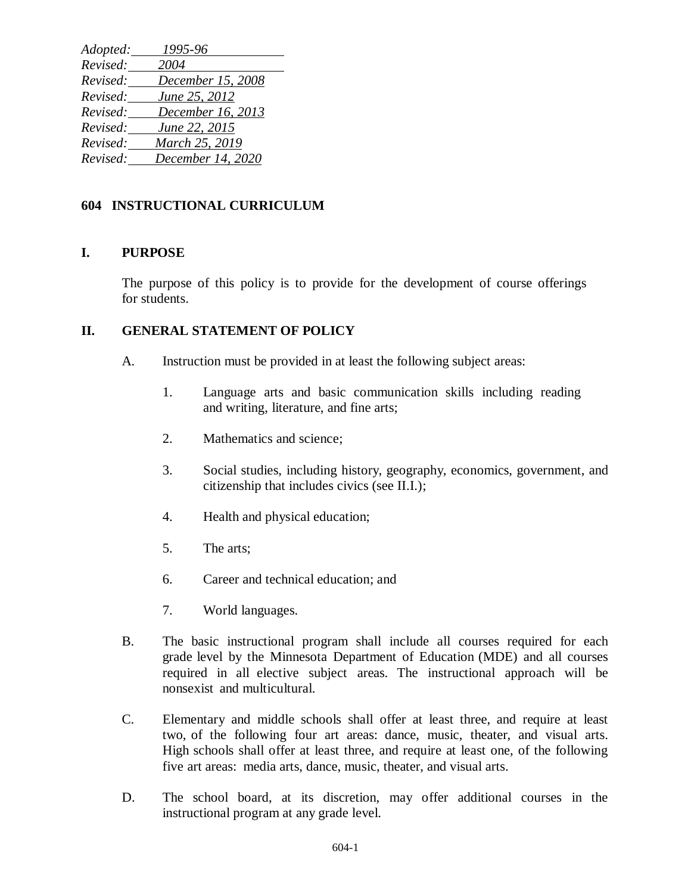*Adopted: 1995-96 Revised: 2004 Revised: December 15, 2008 Revised: June 25, 2012 Revised: December 16, 2013 Revised: June 22, 2015 Revised: March 25, 2019 Revised: December 14, 2020*

## **604 INSTRUCTIONAL CURRICULUM**

## **I. PURPOSE**

The purpose of this policy is to provide for the development of course offerings for students.

## **II. GENERAL STATEMENT OF POLICY**

- A. Instruction must be provided in at least the following subject areas:
	- 1. Language arts and basic communication skills including reading and writing, literature, and fine arts;
	- 2. Mathematics and science;
	- 3. Social studies, including history, geography, economics, government, and citizenship that includes civics (see II.I.);
	- 4. Health and physical education;
	- 5. The arts;
	- 6. Career and technical education; and
	- 7. World languages.
- B. The basic instructional program shall include all courses required for each grade level by the Minnesota Department of Education (MDE) and all courses required in all elective subject areas. The instructional approach will be nonsexist and multicultural.
- C. Elementary and middle schools shall offer at least three, and require at least two, of the following four art areas: dance, music, theater, and visual arts. High schools shall offer at least three, and require at least one, of the following five art areas: media arts, dance, music, theater, and visual arts.
- D. The school board, at its discretion, may offer additional courses in the instructional program at any grade level.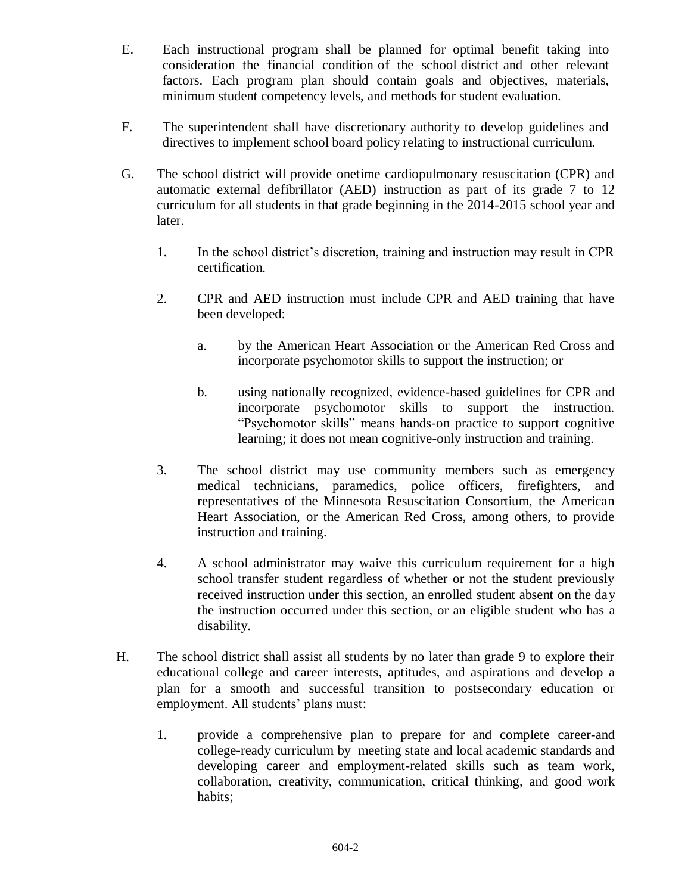- E. Each instructional program shall be planned for optimal benefit taking into consideration the financial condition of the school district and other relevant factors. Each program plan should contain goals and objectives, materials, minimum student competency levels, and methods for student evaluation.
- F. The superintendent shall have discretionary authority to develop guidelines and directives to implement school board policy relating to instructional curriculum.
- G. The school district will provide onetime cardiopulmonary resuscitation (CPR) and automatic external defibrillator (AED) instruction as part of its grade 7 to 12 curriculum for all students in that grade beginning in the 2014-2015 school year and later.
	- 1. In the school district's discretion, training and instruction may result in CPR certification.
	- 2. CPR and AED instruction must include CPR and AED training that have been developed:
		- a. by the American Heart Association or the American Red Cross and incorporate psychomotor skills to support the instruction; or
		- b. using nationally recognized, evidence-based guidelines for CPR and incorporate psychomotor skills to support the instruction. "Psychomotor skills" means hands-on practice to support cognitive learning; it does not mean cognitive-only instruction and training.
	- 3. The school district may use community members such as emergency medical technicians, paramedics, police officers, firefighters, and representatives of the Minnesota Resuscitation Consortium, the American Heart Association, or the American Red Cross, among others, to provide instruction and training.
	- 4. A school administrator may waive this curriculum requirement for a high school transfer student regardless of whether or not the student previously received instruction under this section, an enrolled student absent on the day the instruction occurred under this section, or an eligible student who has a disability.
- H. The school district shall assist all students by no later than grade 9 to explore their educational college and career interests, aptitudes, and aspirations and develop a plan for a smooth and successful transition to postsecondary education or employment. All students' plans must:
	- 1. provide a comprehensive plan to prepare for and complete career-and college-ready curriculum by meeting state and local academic standards and developing career and employment-related skills such as team work, collaboration, creativity, communication, critical thinking, and good work habits;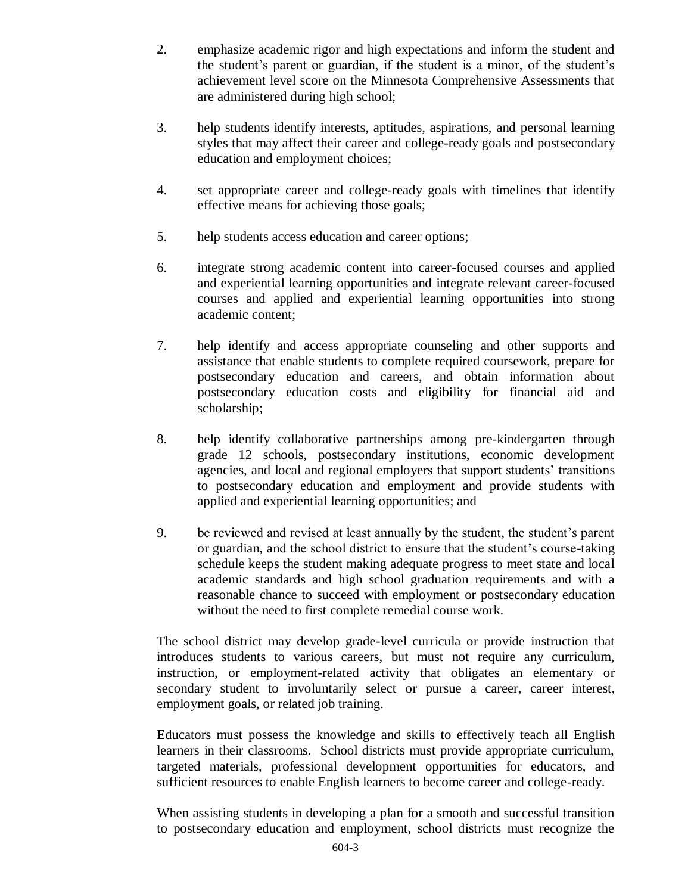- 2. emphasize academic rigor and high expectations and inform the student and the student's parent or guardian, if the student is a minor, of the student's achievement level score on the Minnesota Comprehensive Assessments that are administered during high school;
- 3. help students identify interests, aptitudes, aspirations, and personal learning styles that may affect their career and college-ready goals and postsecondary education and employment choices;
- 4. set appropriate career and college-ready goals with timelines that identify effective means for achieving those goals;
- 5. help students access education and career options;
- 6. integrate strong academic content into career-focused courses and applied and experiential learning opportunities and integrate relevant career-focused courses and applied and experiential learning opportunities into strong academic content;
- 7. help identify and access appropriate counseling and other supports and assistance that enable students to complete required coursework, prepare for postsecondary education and careers, and obtain information about postsecondary education costs and eligibility for financial aid and scholarship;
- 8. help identify collaborative partnerships among pre-kindergarten through grade 12 schools, postsecondary institutions, economic development agencies, and local and regional employers that support students' transitions to postsecondary education and employment and provide students with applied and experiential learning opportunities; and
- 9. be reviewed and revised at least annually by the student, the student's parent or guardian, and the school district to ensure that the student's course-taking schedule keeps the student making adequate progress to meet state and local academic standards and high school graduation requirements and with a reasonable chance to succeed with employment or postsecondary education without the need to first complete remedial course work.

The school district may develop grade-level curricula or provide instruction that introduces students to various careers, but must not require any curriculum, instruction, or employment-related activity that obligates an elementary or secondary student to involuntarily select or pursue a career, career interest, employment goals, or related job training.

Educators must possess the knowledge and skills to effectively teach all English learners in their classrooms. School districts must provide appropriate curriculum, targeted materials, professional development opportunities for educators, and sufficient resources to enable English learners to become career and college-ready.

When assisting students in developing a plan for a smooth and successful transition to postsecondary education and employment, school districts must recognize the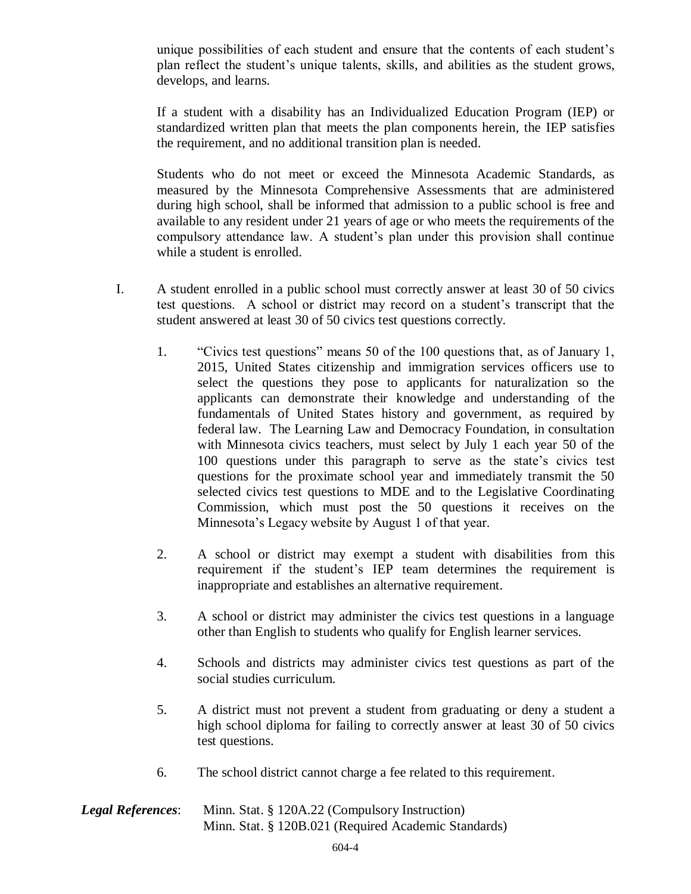unique possibilities of each student and ensure that the contents of each student's plan reflect the student's unique talents, skills, and abilities as the student grows, develops, and learns.

If a student with a disability has an Individualized Education Program (IEP) or standardized written plan that meets the plan components herein, the IEP satisfies the requirement, and no additional transition plan is needed.

Students who do not meet or exceed the Minnesota Academic Standards, as measured by the Minnesota Comprehensive Assessments that are administered during high school, shall be informed that admission to a public school is free and available to any resident under 21 years of age or who meets the requirements of the compulsory attendance law. A student's plan under this provision shall continue while a student is enrolled.

- I. A student enrolled in a public school must correctly answer at least 30 of 50 civics test questions. A school or district may record on a student's transcript that the student answered at least 30 of 50 civics test questions correctly.
	- 1. "Civics test questions" means 50 of the 100 questions that, as of January 1, 2015, United States citizenship and immigration services officers use to select the questions they pose to applicants for naturalization so the applicants can demonstrate their knowledge and understanding of the fundamentals of United States history and government, as required by federal law. The Learning Law and Democracy Foundation, in consultation with Minnesota civics teachers, must select by July 1 each year 50 of the 100 questions under this paragraph to serve as the state's civics test questions for the proximate school year and immediately transmit the 50 selected civics test questions to MDE and to the Legislative Coordinating Commission, which must post the 50 questions it receives on the Minnesota's Legacy website by August 1 of that year.
	- 2. A school or district may exempt a student with disabilities from this requirement if the student's IEP team determines the requirement is inappropriate and establishes an alternative requirement.
	- 3. A school or district may administer the civics test questions in a language other than English to students who qualify for English learner services.
	- 4. Schools and districts may administer civics test questions as part of the social studies curriculum.
	- 5. A district must not prevent a student from graduating or deny a student a high school diploma for failing to correctly answer at least 30 of 50 civics test questions.
	- 6. The school district cannot charge a fee related to this requirement.

## *Legal References*: Minn. Stat. § 120A.22 (Compulsory Instruction) Minn. Stat. § 120B.021 (Required Academic Standards)